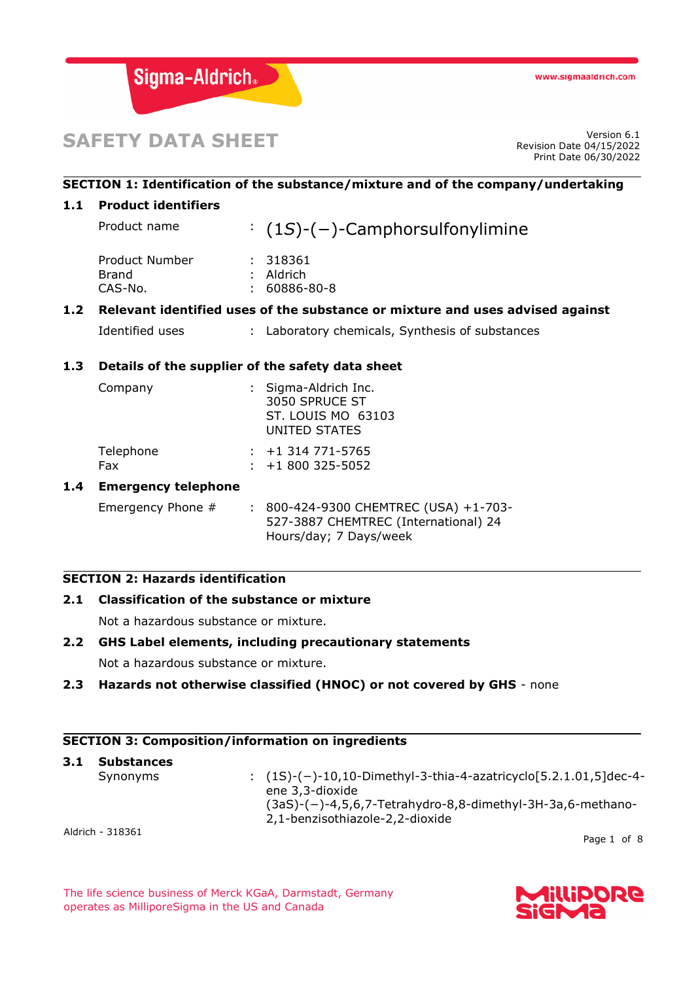

# **SAFETY DATA SHEET**

Revision Date 04/15/2022 Print Date 06/30/2022

### **SECTION 1: Identification of the substance/mixture and of the company/undertaking**

### **1.1 Product identifiers**

| Product name                       | $(1S)-(-)$ -Camphorsulfonylimine              |
|------------------------------------|-----------------------------------------------|
| Product Number<br>Brand<br>CAS-No. | : 318361<br>$:$ Aldrich<br>$: 60886 - 80 - 8$ |
|                                    |                                               |

### **1.2 Relevant identified uses of the substance or mixture and uses advised against**

Identified uses : Laboratory chemicals, Synthesis of substances

### **1.3 Details of the supplier of the safety data sheet**

| Company                 | : Sigma-Aldrich Inc.<br>3050 SPRUCE ST<br>ST. LOUIS MO 63103<br>UNITED STATES |  |
|-------------------------|-------------------------------------------------------------------------------|--|
| Telephone<br><b>Fax</b> | $: +1314771 - 5765$<br>$: +1800325 - 5052$                                    |  |
| .                       |                                                                               |  |

### **1.4 Emergency telephone**

Emergency Phone # : 800-424-9300 CHEMTREC (USA) +1-703-527-3887 CHEMTREC (International) 24 Hours/day; 7 Days/week

### **SECTION 2: Hazards identification**

### **2.1 Classification of the substance or mixture**

Not a hazardous substance or mixture.

### **2.2 GHS Label elements, including precautionary statements**

Not a hazardous substance or mixture.

### **2.3 Hazards not otherwise classified (HNOC) or not covered by GHS** - none

### **SECTION 3: Composition/information on ingredients**

| 3.1 | <b>Substances</b> |                                                                                                      |
|-----|-------------------|------------------------------------------------------------------------------------------------------|
|     | Synonyms          | : $(1S)$ - $(-)$ -10,10-Dimethyl-3-thia-4-azatricyclo[5.2.1.01,5]dec-4-<br>ene 3,3-dioxide           |
|     |                   | $(3aS)$ - $(-)$ -4,5,6,7-Tetrahydro-8,8-dimethyl-3H-3a,6-methano-<br>2,1-benzisothiazole-2,2-dioxide |
|     | Aldrich - 318361  |                                                                                                      |

Page 1 of 8

The life science business of Merck KGaA, Darmstadt, Germany operates as MilliporeSigma in the US and Canada

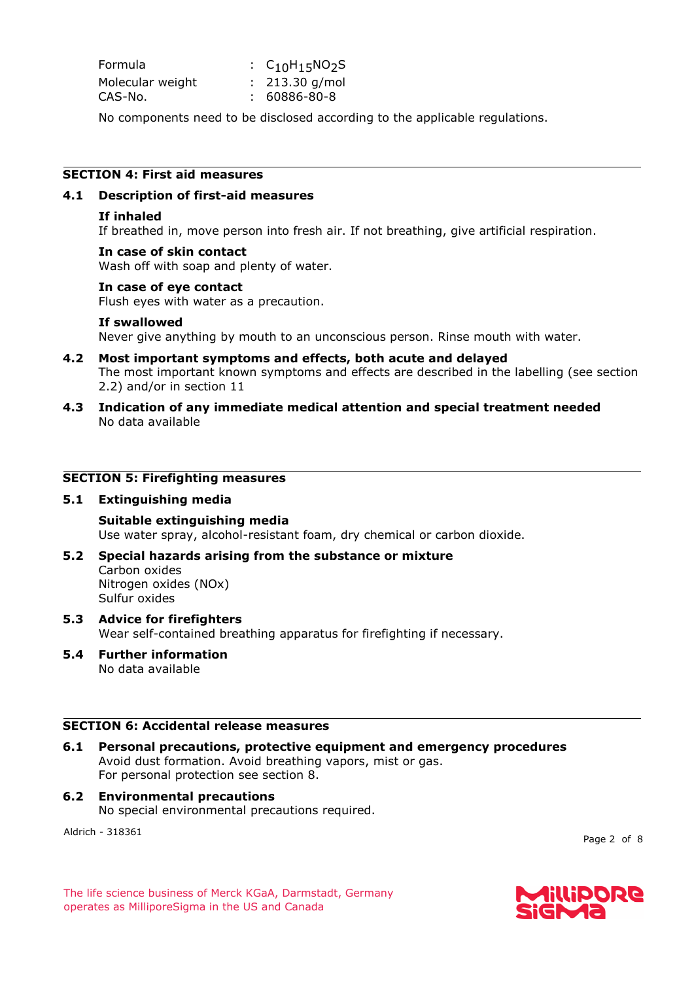| Formula          | : $C_{10}H_{15}NO_2S$ |
|------------------|-----------------------|
| Molecular weight | $: 213.30$ g/mol      |
| CAS-No.          | : 60886-80-8          |

No components need to be disclosed according to the applicable regulations.

### **SECTION 4: First aid measures**

### **4.1 Description of first-aid measures**

### **If inhaled**

If breathed in, move person into fresh air. If not breathing, give artificial respiration.

### **In case of skin contact**

Wash off with soap and plenty of water.

### **In case of eye contact**

Flush eyes with water as a precaution.

### **If swallowed**

Never give anything by mouth to an unconscious person. Rinse mouth with water.

- **4.2 Most important symptoms and effects, both acute and delayed** The most important known symptoms and effects are described in the labelling (see section 2.2) and/or in section 11
- **4.3 Indication of any immediate medical attention and special treatment needed** No data available

### **SECTION 5: Firefighting measures**

### **5.1 Extinguishing media**

**Suitable extinguishing media** Use water spray, alcohol-resistant foam, dry chemical or carbon dioxide.

## **5.2 Special hazards arising from the substance or mixture**

Carbon oxides Nitrogen oxides (NOx) Sulfur oxides

### **5.3 Advice for firefighters** Wear self-contained breathing apparatus for firefighting if necessary.

**5.4 Further information** No data available

### **SECTION 6: Accidental release measures**

**6.1 Personal precautions, protective equipment and emergency procedures** Avoid dust formation. Avoid breathing vapors, mist or gas. For personal protection see section 8.

### **6.2 Environmental precautions** No special environmental precautions required.

Aldrich - 318361

Page 2 of 8

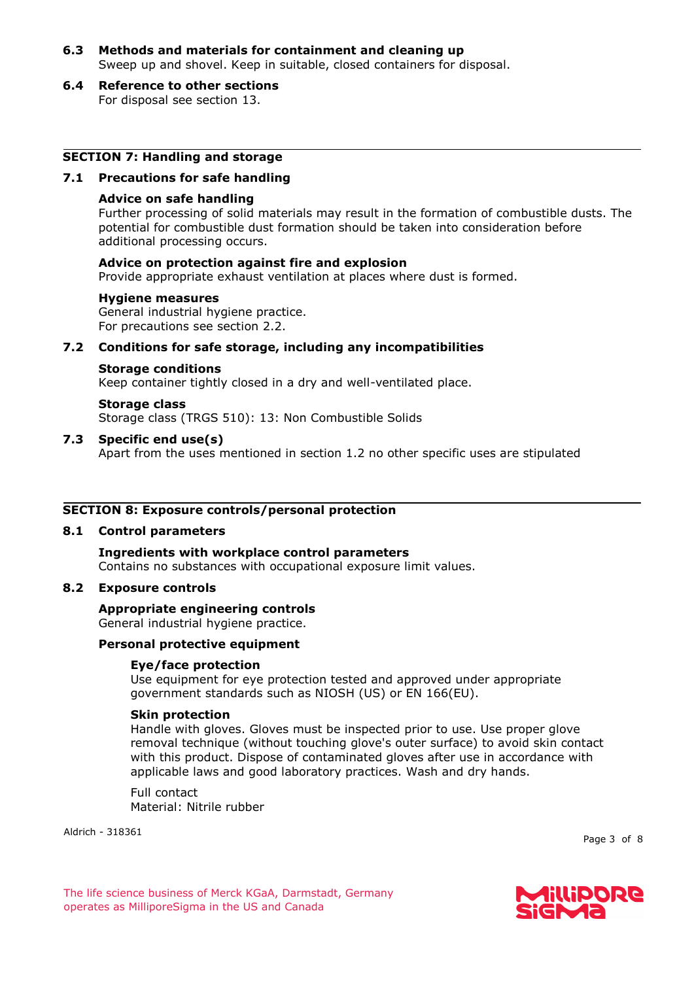- **6.3 Methods and materials for containment and cleaning up** Sweep up and shovel. Keep in suitable, closed containers for disposal.
- **6.4 Reference to other sections** For disposal see section 13.

### **SECTION 7: Handling and storage**

### **7.1 Precautions for safe handling**

### **Advice on safe handling**

Further processing of solid materials may result in the formation of combustible dusts. The potential for combustible dust formation should be taken into consideration before additional processing occurs.

### **Advice on protection against fire and explosion**

Provide appropriate exhaust ventilation at places where dust is formed.

#### **Hygiene measures**

General industrial hygiene practice. For precautions see section 2.2.

### **7.2 Conditions for safe storage, including any incompatibilities**

#### **Storage conditions**

Keep container tightly closed in a dry and well-ventilated place.

## **Storage class**

Storage class (TRGS 510): 13: Non Combustible Solids

### **7.3 Specific end use(s)**

Apart from the uses mentioned in section 1.2 no other specific uses are stipulated

### **SECTION 8: Exposure controls/personal protection**

#### **8.1 Control parameters**

### **Ingredients with workplace control parameters**

Contains no substances with occupational exposure limit values.

### **8.2 Exposure controls**

### **Appropriate engineering controls**

General industrial hygiene practice.

### **Personal protective equipment**

### **Eye/face protection**

Use equipment for eye protection tested and approved under appropriate government standards such as NIOSH (US) or EN 166(EU).

#### **Skin protection**

Handle with gloves. Gloves must be inspected prior to use. Use proper glove removal technique (without touching glove's outer surface) to avoid skin contact with this product. Dispose of contaminated gloves after use in accordance with applicable laws and good laboratory practices. Wash and dry hands.

Full contact Material: Nitrile rubber

Aldrich - 318361

Page 3 of 8

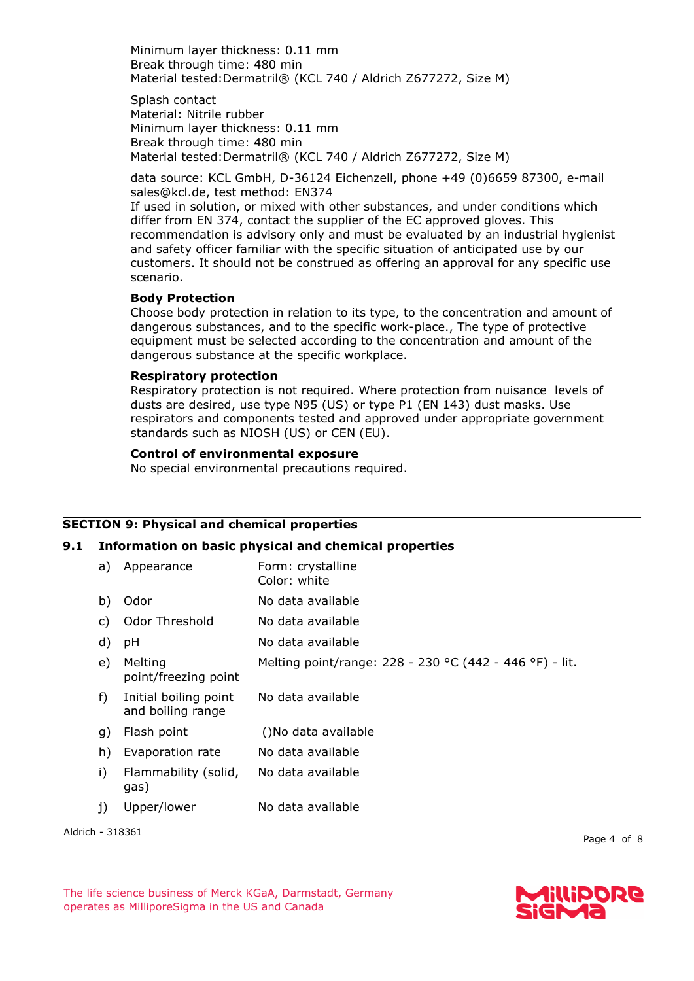Minimum layer thickness: 0.11 mm Break through time: 480 min Material tested:Dermatril® (KCL 740 / Aldrich Z677272, Size M)

Splash contact Material: Nitrile rubber Minimum layer thickness: 0.11 mm Break through time: 480 min Material tested:Dermatril® (KCL 740 / Aldrich Z677272, Size M)

data source: KCL GmbH, D-36124 Eichenzell, phone +49 (0)6659 87300, e-mail sales@kcl.de, test method: EN374

If used in solution, or mixed with other substances, and under conditions which differ from EN 374, contact the supplier of the EC approved gloves. This recommendation is advisory only and must be evaluated by an industrial hygienist and safety officer familiar with the specific situation of anticipated use by our customers. It should not be construed as offering an approval for any specific use scenario.

### **Body Protection**

Choose body protection in relation to its type, to the concentration and amount of dangerous substances, and to the specific work-place., The type of protective equipment must be selected according to the concentration and amount of the dangerous substance at the specific workplace.

### **Respiratory protection**

Respiratory protection is not required. Where protection from nuisance levels of dusts are desired, use type N95 (US) or type P1 (EN 143) dust masks. Use respirators and components tested and approved under appropriate government standards such as NIOSH (US) or CEN (EU).

### **Control of environmental exposure**

No special environmental precautions required.

### **SECTION 9: Physical and chemical properties**

### **9.1 Information on basic physical and chemical properties**

| a) | Appearance                                 | Form: crystalline<br>Color: white                       |
|----|--------------------------------------------|---------------------------------------------------------|
| b) | Odor                                       | No data available                                       |
| C) | Odor Threshold                             | No data available                                       |
| d) | рH                                         | No data available                                       |
| e) | Melting<br>point/freezing point            | Melting point/range: 228 - 230 °C (442 - 446 °F) - lit. |
| f) | Initial boiling point<br>and boiling range | No data available                                       |
| g) | Flash point                                | ()No data available                                     |
| h) | Evaporation rate                           | No data available                                       |
| i) | Flammability (solid,<br>gas)               | No data available                                       |
| 1) | Upper/lower                                | No data available                                       |

Aldrich - 318361

Page 4 of 8

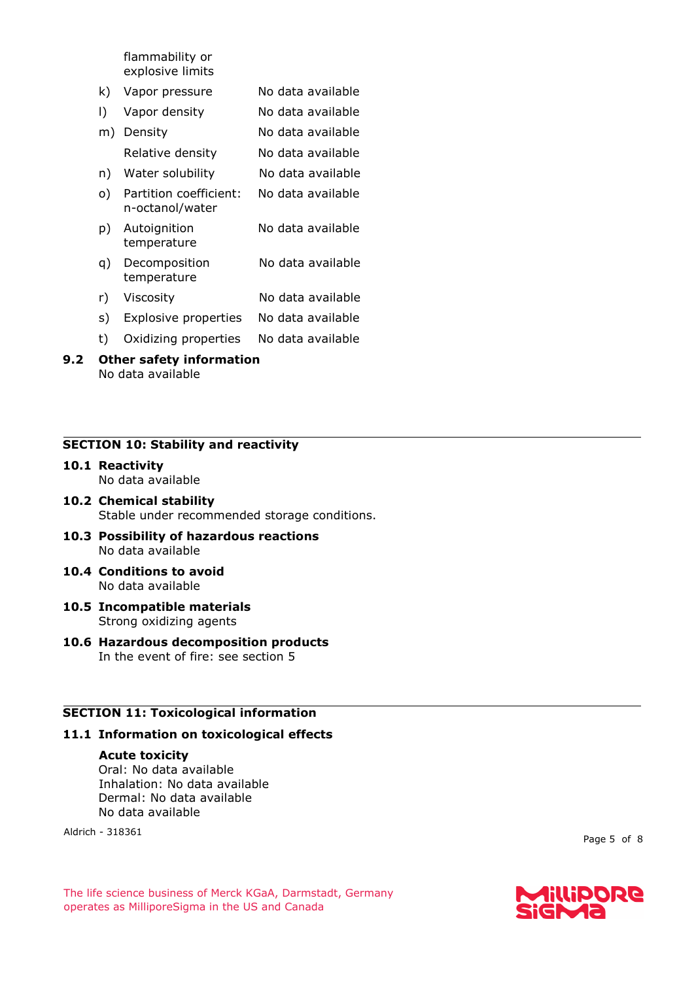flammability or explosive limits

- k) Vapor pressure No data available
- l) Vapor density No data available m) Density No data available
- Relative density No data available
- n) Water solubility No data available
- o) Partition coefficient: n-octanol/water No data available
- p) Autoignition temperature No data available
- q) Decomposition temperature No data available
- r) Viscosity No data available
- s) Explosive properties No data available
- t) Oxidizing properties No data available

#### **9.2 Other safety information** No data available

### **SECTION 10: Stability and reactivity**

**10.1 Reactivity** No data available

### **10.2 Chemical stability** Stable under recommended storage conditions.

- **10.3 Possibility of hazardous reactions** No data available
- **10.4 Conditions to avoid** No data available
- **10.5 Incompatible materials** Strong oxidizing agents
- **10.6 Hazardous decomposition products** In the event of fire: see section 5

### **SECTION 11: Toxicological information**

### **11.1 Information on toxicological effects**

#### **Acute toxicity**

Oral: No data available Inhalation: No data available Dermal: No data available No data available

Aldrich - 318361

Page 5 of 8

The life science business of Merck KGaA, Darmstadt, Germany operates as MilliporeSigma in the US and Canada

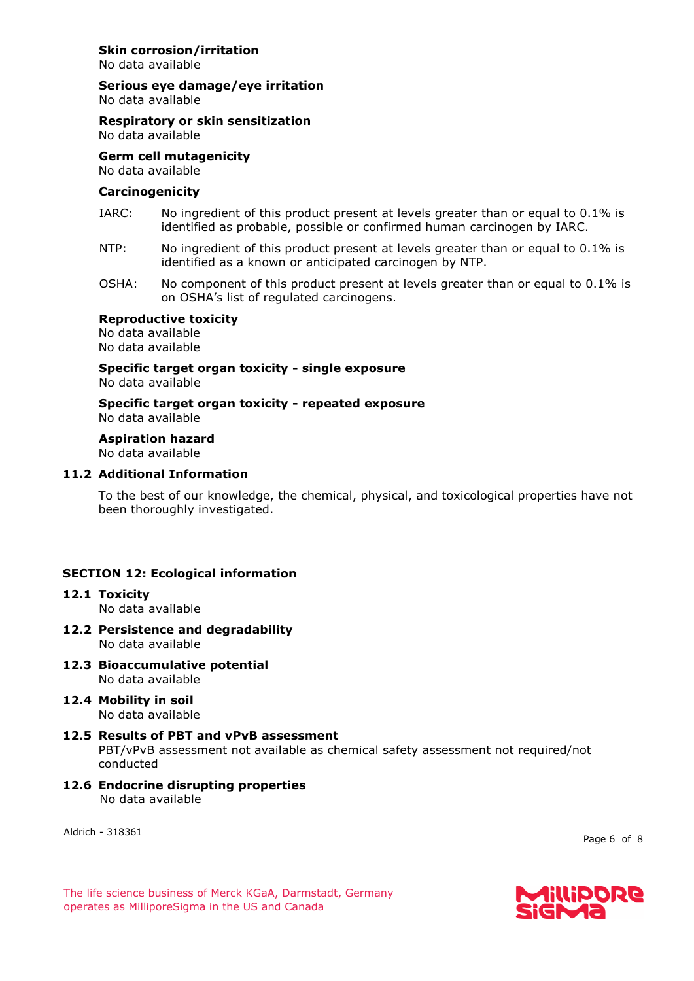### **Skin corrosion/irritation**

No data available

**Serious eye damage/eye irritation**

No data available

### **Respiratory or skin sensitization**

No data available

### **Germ cell mutagenicity**

No data available

#### **Carcinogenicity**

- IARC: No ingredient of this product present at levels greater than or equal to 0.1% is identified as probable, possible or confirmed human carcinogen by IARC.
- NTP: No ingredient of this product present at levels greater than or equal to 0.1% is identified as a known or anticipated carcinogen by NTP.
- OSHA: No component of this product present at levels greater than or equal to 0.1% is on OSHA's list of regulated carcinogens.

#### **Reproductive toxicity**

No data available No data available

#### **Specific target organ toxicity - single exposure** No data available

**Specific target organ toxicity - repeated exposure** No data available

### **Aspiration hazard**

No data available

### **11.2 Additional Information**

To the best of our knowledge, the chemical, physical, and toxicological properties have not been thoroughly investigated.

### **SECTION 12: Ecological information**

## **12.1 Toxicity**

No data available

- **12.2 Persistence and degradability** No data available
- **12.3 Bioaccumulative potential** No data available
- **12.4 Mobility in soil** No data available
- **12.5 Results of PBT and vPvB assessment** PBT/vPvB assessment not available as chemical safety assessment not required/not conducted
- **12.6 Endocrine disrupting properties** No data available

Aldrich - 318361

Page 6 of 8

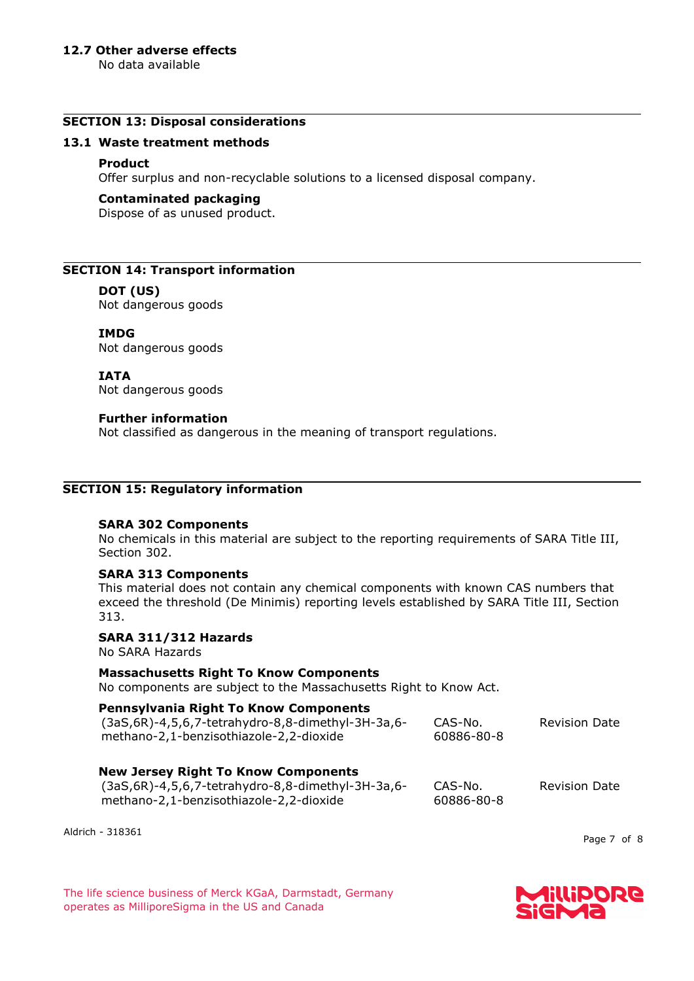### **12.7 Other adverse effects**

No data available

### **SECTION 13: Disposal considerations**

### **13.1 Waste treatment methods**

### **Product**

Offer surplus and non-recyclable solutions to a licensed disposal company.

### **Contaminated packaging**

Dispose of as unused product.

### **SECTION 14: Transport information**

### **DOT (US)**

Not dangerous goods

**IMDG**

Not dangerous goods

**IATA**

Not dangerous goods

### **Further information**

Not classified as dangerous in the meaning of transport regulations.

### **SECTION 15: Regulatory information**

### **SARA 302 Components**

No chemicals in this material are subject to the reporting requirements of SARA Title III, Section 302.

### **SARA 313 Components**

This material does not contain any chemical components with known CAS numbers that exceed the threshold (De Minimis) reporting levels established by SARA Title III, Section 313.

### **SARA 311/312 Hazards**

No SARA Hazards

#### **Massachusetts Right To Know Components**

No components are subject to the Massachusetts Right to Know Act.

#### **Pennsylvania Right To Know Components**  $(3aC,6R)$ -4,5,6,7-tetrahydro-8,8-dimethyl-3H-3a,6-CAS-No.

| $(3aS, 6R)$ -4,5,6,7-tetrahydro-8,8-dimethyl-3H-3a,6-<br>methano-2,1-benzisothiazole-2,2-dioxide | CAS-No.<br>60886-80-8 | <b>Revision Date</b> |
|--------------------------------------------------------------------------------------------------|-----------------------|----------------------|
|                                                                                                  |                       |                      |

### **New Jersey Right To Know Components**

| (3aS,6R)-4,5,6,7-tetrahydro-8,8-dimethyl-3H-3a,6- | CAS-No.    | <b>Revision Date</b> |
|---------------------------------------------------|------------|----------------------|
| methano-2,1-benzisothiazole-2,2-dioxide           | 60886-80-8 |                      |

Aldrich - 318361

Page 7 of 8

The life science business of Merck KGaA, Darmstadt, Germany operates as MilliporeSigma in the US and Canada